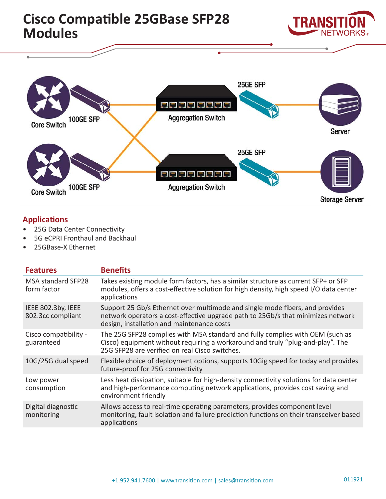

# **Applications**

- 25G Data Center Connectivity
- 5G eCPRI Fronthaul and Backhaul
- 25GBase-X Ethernet

Core Switch 100GE SFP

| <b>Features</b>                          | <b>Benefits</b>                                                                                                                                                                                                   |
|------------------------------------------|-------------------------------------------------------------------------------------------------------------------------------------------------------------------------------------------------------------------|
| <b>MSA standard SFP28</b><br>form factor | Takes existing module form factors, has a similar structure as current SFP+ or SFP<br>modules, offers a cost-effective solution for high density, high speed I/O data center<br>applications                      |
| IEEE 802.3by, IEEE<br>802.3cc compliant  | Support 25 Gb/s Ethernet over multimode and single mode fibers, and provides<br>network operators a cost-effective upgrade path to 25Gb/s that minimizes network<br>design, installation and maintenance costs    |
| Cisco compatibility -<br>guaranteed      | The 25G SFP28 complies with MSA standard and fully complies with OEM (such as<br>Cisco) equipment without requiring a workaround and truly "plug-and-play". The<br>25G SFP28 are verified on real Cisco switches. |
| 10G/25G dual speed                       | Flexible choice of deployment options, supports 10Gig speed for today and provides<br>future-proof for 25G connectivity                                                                                           |
| Low power<br>consumption                 | Less heat dissipation, suitable for high-density connectivity solutions for data center<br>and high-performance computing network applications, provides cost saving and<br>environment friendly                  |
| Digital diagnostic<br>monitoring         | Allows access to real-time operating parameters, provides component level<br>monitoring, fault isolation and failure prediction functions on their transceiver based<br>applications                              |

**Aggregation Switch** 

**Storage Server**